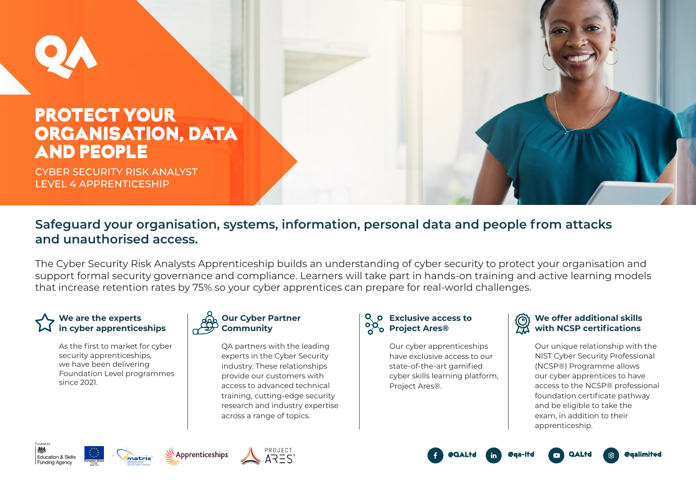# PROTECT YOUR ORGANISATION, DATA AND PEOPLE

CYBER SECURITY RISK ANALYST LEVEL 4 APPRENTICESHIP

## **Safeguard your organisation, systems, information, personal data and people from attacks and unauthorised access.**

The Cyber Security Risk Analysts Apprenticeship builds an understanding of cyber security to protect your organisation and support formal security governance and compliance. Learners will take part in hands-on training and active learning models that increase retention rates by 75% so your cyber apprentices can prepare for real-world challenges.

## **We are the experts in cyber apprenticeships**

As the first to market for cyber security apprenticeships, we have been delivering Foundation Level programmes since 2021.

## **Our Cyber Partner Community**

QA partners with the leading experts in the Cyber Security industry. These relationships provide our customers with access to advanced technical training, cutting-edge security research and industry expertise across a range of topics.

## **Exclusive access to Project Ares®**

Our cyber apprenticeships have exclusive access to our state-of-the-art gamified cyber skills learning platform, Project Ares®.

## **We offer additional skills with NCSP certifications**

Our unique relationship with the NIST Cyber Security Professional (NCSP®) Programme allows our cyber apprentices to have access to the NCSP® professional foundation certificate pathway and be eligible to take the exam, in addition to their apprenticeship.

**@galimited**